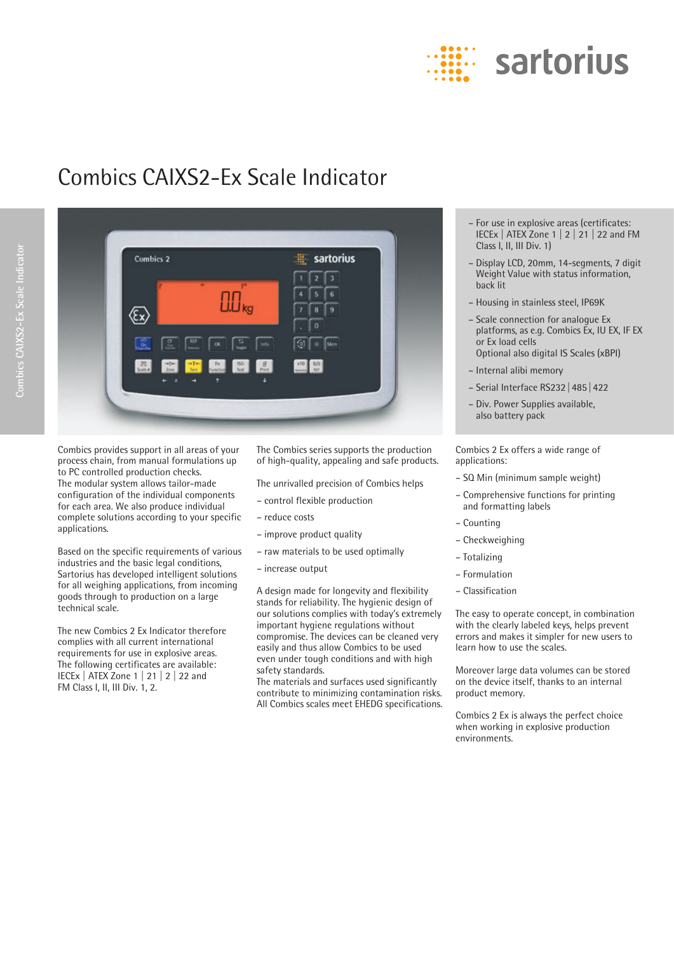

# Combics CAIXS2-Ex Scale Indicator



Combics provides support in all areas of your process chain, from manual formulations up to PC controlled production checks. The modular system allows tailor-made configuration of the individual components for each area. We also produce individual complete solutions according to your specific applications.

Based on the specific requirements of various industries and the basic legal conditions, Sartorius has developed intelligent solutions for all weighing applications, from incoming goods through to production on a large technical scale.

The new Combics 2 Ex Indicator therefore complies with all current international requirements for use in explosive areas. The following certificates are available: IECEx | ATEX Zone 1 | 21 | 2 | 22 and FM Class I, II, III Div. 1, 2.

The Combics series supports the production of high-quality, appealing and safe products.

The unrivalled precision of Combics helps

- control flexible production
- reduce costs
- improve product quality
- raw materials to be used optimally
- increase output

A design made for longevity and flexibility stands for reliability. The hygienic design of our solutions complies with today's extremely important hygiene regulations without compromise. The devices can be cleaned very easily and thus allow Combics to be used even under tough conditions and with high safety standards.

The materials and surfaces used significantly contribute to minimizing contamination risks. All Combics scales meet EHEDG specifications.

- For use in explosive areas (certificates: IECEx | ATEX Zone 1 | 2 | 21 | 22 and FM Class I, II, III Div. 1)
- Display LCD, 20mm, 14-segments, 7 digit Weight Value with status information, back lit
- Housing in stainless steel, IP69K
- Scale connection for analogue Ex platforms, as e.g. Combics Ex, IU EX, IF EX or Ex load cells Optional also digital IS Scales (xBPI)
- Internal alibi memory
- Serial Interface RS232|485|422
- Div. Power Supplies available, also battery pack

Combics 2 Ex offers a wide range of applications:

- SQ Min (minimum sample weight)
- Comprehensive functions for printing and formatting labels
- Counting
- Checkweighing
- Totalizing
- Formulation
- Classification

The easy to operate concept, in combination with the clearly labeled keys, helps prevent errors and makes it simpler for new users to learn how to use the scales.

Moreover large data volumes can be stored on the device itself, thanks to an internal product memory.

Combics 2 Ex is always the perfect choice when working in explosive production environments.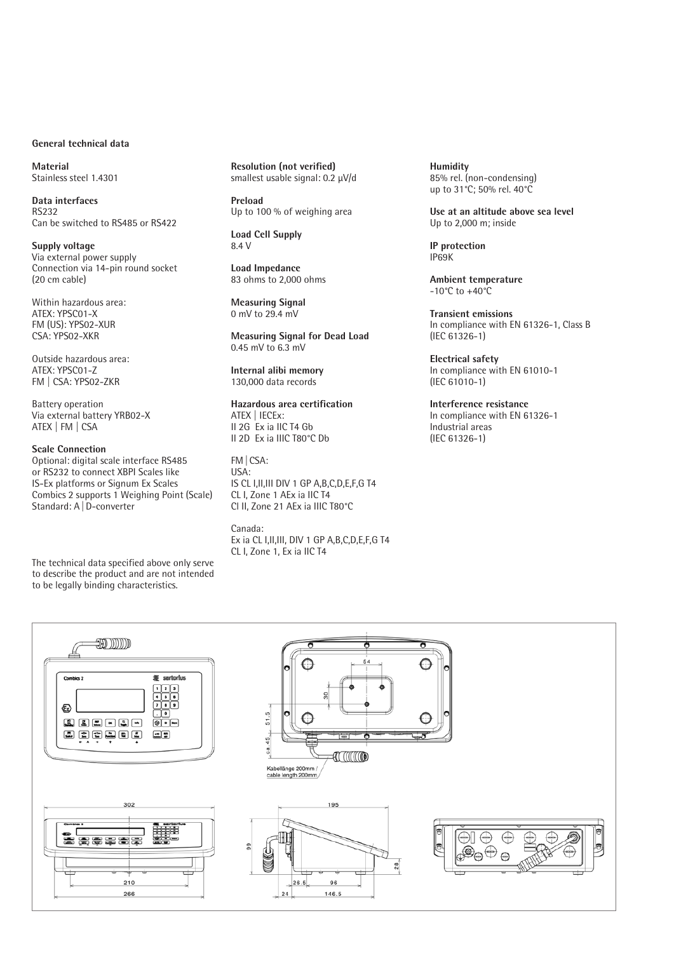#### **General technical data**

**Material** Stainless steel 1.4301

**Data interfaces** RS232 Can be switched to RS485 or RS422

**Supply voltage** Via external power supply Connection via 14-pin round socket (20 cm cable)

Within hazardous area: ATEX: YPSC01-X FM (US): YPS02-XUR CSA: YPS02-XKR

Outside hazardous area: ATEX: YPSC01-Z FM | CSA: YPS02-ZKR

Battery operation Via external battery YRB02-X ATEX | FM | CSA

#### **Scale Connection**

Optional: digital scale interface RS485 or RS232 to connect XBPI Scales like IS-Ex platforms or Signum Ex Scales Combics 2 supports 1 Weighing Point (Scale) Standard: A | D-converter

The technical data specified above only serve to describe the product and are not intended to be legally binding characteristics.

**Resolution (not verified)** smallest usable signal: 0.2 μV/d

**Preload** Up to 100 % of weighing area

**Load Cell Supply** 8.4 V

**Load Impedance** 83 ohms to 2,000 ohms

**Measuring Signal** 0 mV to 29.4 mV

**Measuring Signal for Dead Load** 0.45 mV to 6.3 mV

**Internal alibi memory** 130,000 data records

## **Hazardous area certification**

ATEX | IECEx: II 2G Ex ia IIC T4 Gb II 2D Ex ia IIIC T80°C Db

FM|CSA: USA: IS CL I,II,III DIV 1 GP A,B,C,D,E,F,G T4 CL I, Zone 1 AEx ia IIC T4 Cl II, Zone 21 AEx ia IIIC T80°C

Canada: Ex ia CL I,II,III, DIV 1 GP A,B,C,D,E,F,G T4 CL I, Zone 1, Ex ia IIC T4

**Humidity** 85% rel. (non-condensing) up to 31°C; 50% rel. 40°C

**Use at an altitude above sea level** Up to 2,000 m; inside

**IP protection** IP69K

**Ambient temperature** -10°C to +40°C

**Transient emissions** In compliance with EN 61326-1, Class B (IEC 61326-1)

**Electrical safety** In compliance with EN 61010-1 (IEC 61010-1)

**Interference resistance** In compliance with EN 61326-1 Industrial areas (IEC 61326-1)

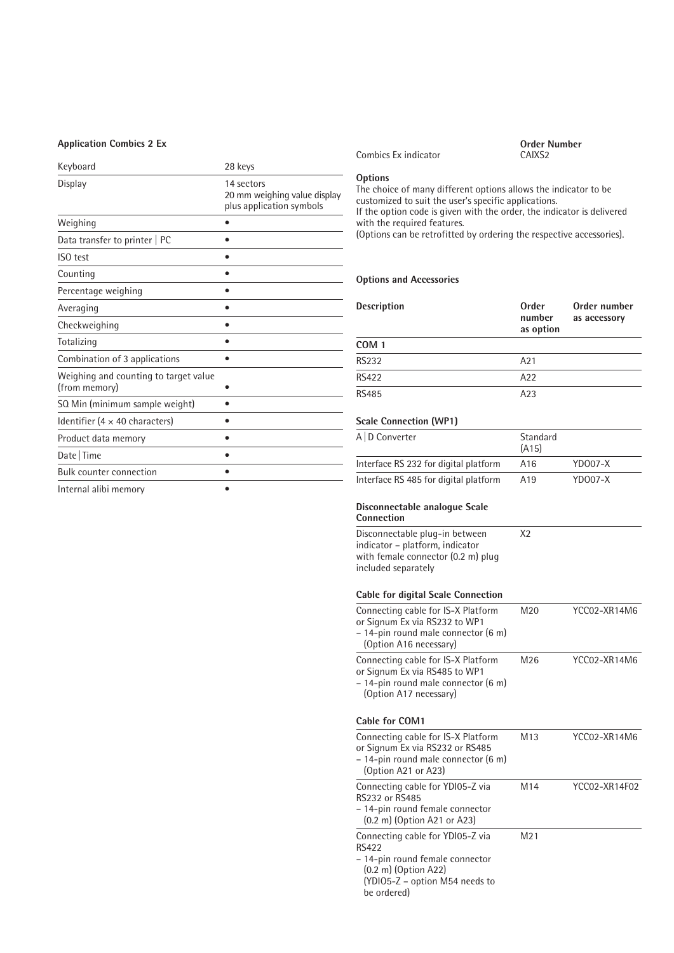#### **Application Combics 2 Ex**

| Keyboard                                               | 28 keys                                                                |
|--------------------------------------------------------|------------------------------------------------------------------------|
| Display                                                | 14 sectors<br>20 mm weighing value display<br>plus application symbols |
| Weighing                                               |                                                                        |
| Data transfer to printer   PC                          |                                                                        |
| ISO test                                               |                                                                        |
| Counting                                               |                                                                        |
| Percentage weighing                                    |                                                                        |
| Averaging                                              |                                                                        |
| Checkweighing                                          |                                                                        |
| Totalizing                                             |                                                                        |
| Combination of 3 applications                          |                                                                        |
| Weighing and counting to target value<br>(from memory) |                                                                        |
| SQ Min (minimum sample weight)                         |                                                                        |
| Identifier (4 $\times$ 40 characters)                  |                                                                        |
| Product data memory                                    | e                                                                      |
| Date   Time                                            |                                                                        |
| <b>Bulk counter connection</b>                         |                                                                        |
| Internal alibi memory                                  |                                                                        |

Combics Ex indicator

**Order Number**

**Options**

The choice of many different options allows the indicator to be customized to suit the user's specific applications. If the option code is given with the order, the indicator is delivered with the required features. (Options can be retrofitted by ordering the respective accessories).

#### **Options and Accessories**

| <b>Description</b> | Order<br>number<br>as option | Order number<br>as accessory |
|--------------------|------------------------------|------------------------------|
| COM <sub>1</sub>   |                              |                              |
| <b>RS232</b>       | A21                          |                              |
| <b>RS422</b>       | A22                          |                              |
| <b>RS485</b>       | A23                          |                              |

#### **Scale Connection (WP1)**

| A D Converter                         | Standard<br>(A15) |           |
|---------------------------------------|-------------------|-----------|
| Interface RS 232 for digital platform | A16               | $YDOO7-X$ |
| Interface RS 485 for digital platform | A <sub>19</sub>   | $YDOO7-X$ |

X2

#### **Disconnectable analogue Scale**

#### **Connection**

Disconnectable plug-in between indicator – platform, indicator with female connector (0.2 m) plug included separately

#### **Cable for digital Scale Connection**

| Connecting cable for IS-X Platform<br>or Signum Ex via RS232 to WP1<br>- 14-pin round male connector (6 m)<br>(Option A16 necessary)                                   | M20             | YCC02-XR14M6  |
|------------------------------------------------------------------------------------------------------------------------------------------------------------------------|-----------------|---------------|
| Connecting cable for IS-X Platform<br>or Signum Ex via RS485 to WP1<br>- 14-pin round male connector (6 m)<br>(Option A17 necessary)                                   | M26             | YCC02-XR14M6  |
| Cable for COM1                                                                                                                                                         |                 |               |
| Connecting cable for IS-X Platform<br>or Signum Ex via RS232 or RS485<br>- 14-pin round male connector (6 m)<br>(Option A21 or A23)                                    | M <sub>13</sub> | YCC02-XR14M6  |
| Connecting cable for YDI05-Z via<br>RS232 or RS485<br>- 14-pin round female connector<br>(0.2 m) (Option A21 or A23)                                                   | M <sub>14</sub> | YCC02-XR14F02 |
| Connecting cable for YDI05-Z via<br><b>RS422</b><br>- 14-pin round female connector<br>$(0.2 \text{ m})$ (Option A22)<br>(YDIO5-Z – option M54 needs to<br>be ordered) | M21             |               |